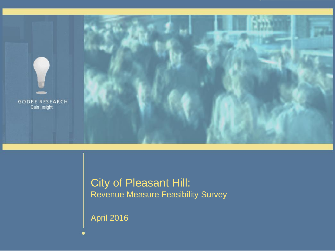

### City of Pleasant Hill: Revenue Measure Feasibility Survey

April 2016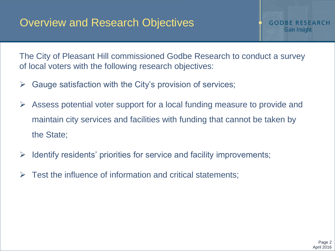The City of Pleasant Hill commissioned Godbe Research to conduct a survey of local voters with the following research objectives:

- $\triangleright$  Gauge satisfaction with the City's provision of services;
- Assess potential voter support for a local funding measure to provide and maintain city services and facilities with funding that cannot be taken by the State;
- $\triangleright$  Identify residents' priorities for service and facility improvements;
- $\triangleright$  Test the influence of information and critical statements;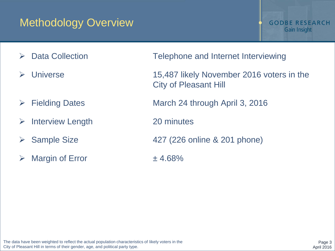### Methodology Overview

- 
- 
- 
- > Interview Length 20 minutes
- 
- $\triangleright$  Margin of Error  $\pm$  4.68%
- ▶ Data Collection Telephone and Internet Interviewing
- Universe 15,487 likely November 2016 voters in the City of Pleasant Hill
- Fielding Dates March 24 through April 3, 2016
	-
- $\triangleright$  Sample Size  $427$  (226 online & 201 phone)
	-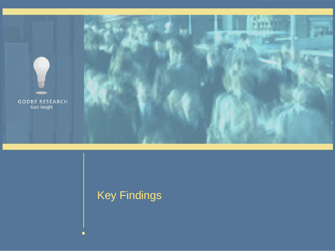

# Key Findings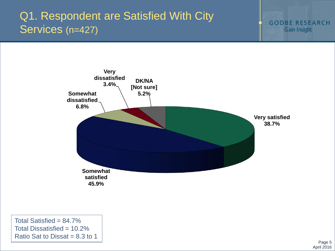# Q1. Respondent are Satisfied With City Services (n=427)

**GODBE RESEARCH** Gain Insight



Total Satisfied =  $84.7\%$ Total Dissatisfied = 10.2% Ratio Sat to Dissat  $= 8.3$  to 1

> Page 5 April 2016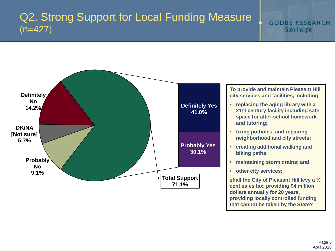### Q2. Strong Support for Local Funding Measure (n=427)



**that cannot be taken by the State?**

**GODBE RESEARCH Gain Insight**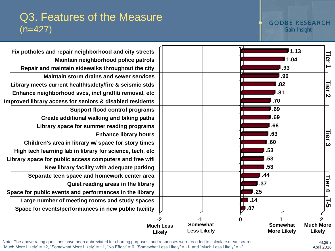### **GODBE RESEARCH** Gain Insight

### Q3. Features of the Measure  $(n=427)$



Note: The above rating questions have been abbreviated for charting purposes, and responses were recoded to calculate mean scores: "Much More Likely" = +2, "Somewhat More Likely" = +1, "No Effect" = 0, "Somewhat Less Likely" = -1, and "Much Less Likely" = -2.

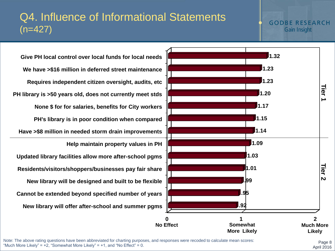### Q4. Influence of Informational Statements  $(n=427)$

### **GODBE RESEARCH** Gain Insight

**New library will offer after-school and summer pgms Cannot be extended beyond specified number of years New library will be designed and built to be flexible Residents/visitors/shoppers/businesses pay fair share Updated library facilities allow more after-school pgms Help maintain property values in PH Have >\$8 million in needed storm drain improvements PH's library is in poor condition when compared None \$ for for salaries, benefits for City workers PH library is >50 years old, does not currently meet stds Requires independent citizen oversight, audits, etc We have >\$16 million in deferred street maintenance Give PH local control over local funds for local needs**



Note: The above rating questions have been abbreviated for charting purposes, and responses were recoded to calculate mean scores: "Much More Likely" =  $+2$ , "Somewhat More Likely" =  $+1$ , and "No Effect" = 0.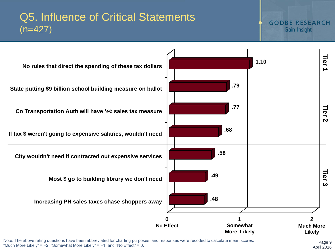### Q5. Influence of Critical Statements  $(n=427)$

### **GODBE RESEARCH Gain Insight**



"Much More Likely" =  $+2$ , "Somewhat More Likely" =  $+1$ , and "No Effect" = 0.

Page 9 April 2016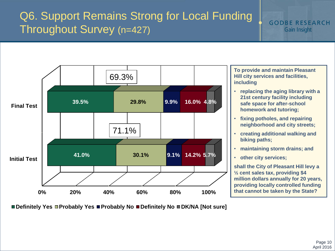# Q6. Support Remains Strong for Local Funding Throughout Survey (n=427)

**GODBE RESEARCH** Gain Insight



**Definitely Yes Probably Yes Probably No Definitely No DK/NA [Not sure]**

**To provide and maintain Pleasant Hill city services and facilities, including** 

- **replacing the aging library with a 21st century facility including safe space for after-school homework and tutoring;**
- **fixing potholes, and repairing neighborhood and city streets;**
- **creating additional walking and biking paths;**
- **maintaining storm drains; and**
- **other city services;**

**shall the City of Pleasant Hill levy a ½ cent sales tax, providing \$4 million dollars annually for 20 years, providing locally controlled funding that cannot be taken by the State?**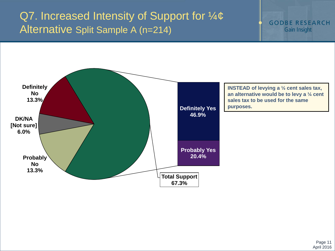## Q7. Increased Intensity of Support for  $\frac{1}{4}$ ¢ Alternative Split Sample A (n=214)

**GODBE RESEARCH Gain Insight** 

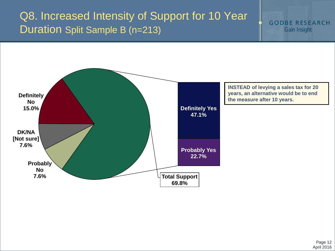### Q8. Increased Intensity of Support for 10 Year Duration Split Sample B (n=213)

**GODBE RESEARCH Gain Insight** 

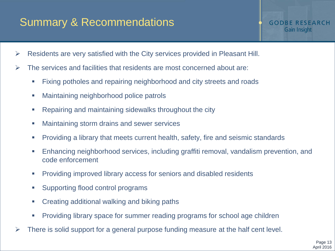# Summary & Recommendations

- Residents are very satisfied with the City services provided in Pleasant Hill.
- $\triangleright$  The services and facilities that residents are most concerned about are:
	- Fixing potholes and repairing neighborhood and city streets and roads
	- **Maintaining neighborhood police patrols**
	- **Repairing and maintaining sidewalks throughout the city**
	- **Maintaining storm drains and sewer services**
	- Providing a library that meets current health, safety, fire and seismic standards
	- Enhancing neighborhood services, including graffiti removal, vandalism prevention, and code enforcement
	- **Providing improved library access for seniors and disabled residents**
	- **Supporting flood control programs**
	- **Creating additional walking and biking paths**
	- **Providing library space for summer reading programs for school age children**
- There is solid support for a general purpose funding measure at the half cent level.